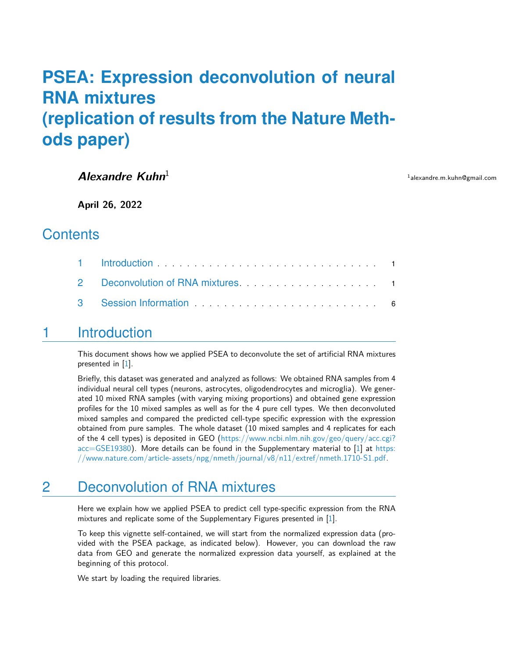# **PSEA: Expression deconvolution of neural RNA mixtures (replication of results from the Nature Methods paper)**

#### **Alexandre Kuhn**<sup>1</sup>

<sup>1</sup>alexandre.m.kuhn@gmail.com

**April 26, 2022**

#### **Contents**

| 2 Deconvolution of RNA mixtures <b>Example 2</b> Deconvolution of RNA mixtures |  |
|--------------------------------------------------------------------------------|--|
|                                                                                |  |

#### <span id="page-0-0"></span>1 Introduction

This document shows how we applied PSEA to deconvolute the set of artificial RNA mixtures presented in [\[1\]](#page-6-0).

Briefly, this dataset was generated and analyzed as follows: We obtained RNA samples from 4 individual neural cell types (neurons, astrocytes, oligodendrocytes and microglia). We generated 10 mixed RNA samples (with varying mixing proportions) and obtained gene expression profiles for the 10 mixed samples as well as for the 4 pure cell types. We then deconvoluted mixed samples and compared the predicted cell-type specific expression with the expression obtained from pure samples. The whole dataset (10 mixed samples and 4 replicates for each of the 4 cell types) is deposited in GEO [\(https://www.ncbi.nlm.nih.gov/geo/query/acc.cgi?](https://www.ncbi.nlm.nih.gov/geo/query/acc.cgi?acc=GSE19380) [acc=GSE19380\)](https://www.ncbi.nlm.nih.gov/geo/query/acc.cgi?acc=GSE19380). More details can be found in the Supplementary material to [\[1\]](#page-6-0) at [https:](https://www.nature.com/article-assets/npg/nmeth/journal/v8/n11/extref/nmeth.1710-S1.pdf) [//www.nature.com/article-assets/npg/nmeth/journal/v8/n11/extref/nmeth.1710-S1.pdf.](https://www.nature.com/article-assets/npg/nmeth/journal/v8/n11/extref/nmeth.1710-S1.pdf)

### <span id="page-0-1"></span>2 Deconvolution of RNA mixtures

Here we explain how we applied PSEA to predict cell type-specific expression from the RNA mixtures and replicate some of the Supplementary Figures presented in [\[1\]](#page-6-0).

To keep this vignette self-contained, we will start from the normalized expression data (provided with the PSEA package, as indicated below). However, you can download the raw data from GEO and generate the normalized expression data yourself, as explained at the beginning of this protocol.

We start by loading the required libraries.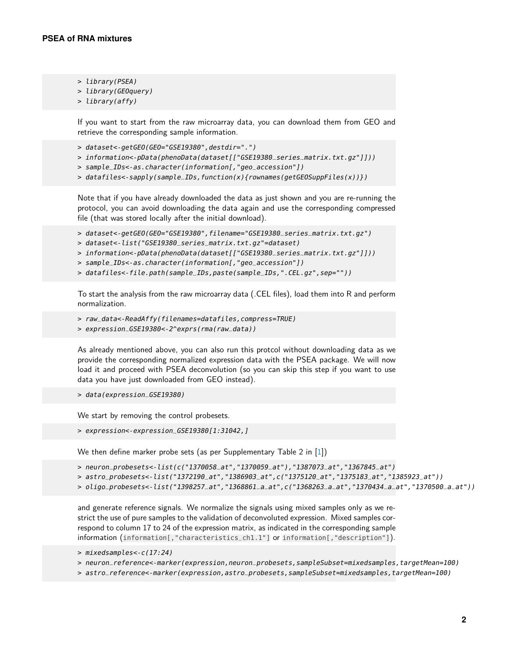- > library(PSEA)
- > library(GEOquery)
- > library(affy)

If you want to start from the raw microarray data, you can download them from GEO and retrieve the corresponding sample information.

- > dataset<-getGEO(GEO="GSE19380",destdir=".")
- > information<-pData(phenoData(dataset[["GSE19380\_series\_matrix.txt.gz"]]))
- > sample\_IDs<-as.character(information[,"geo\_accession"])
- > datafiles<-sapply(sample\_IDs,function(x){rownames(getGEOSuppFiles(x))})

Note that if you have already downloaded the data as just shown and you are re-running the protocol, you can avoid downloading the data again and use the corresponding compressed file (that was stored locally after the initial download).

- > dataset<-getGEO(GEO="GSE19380",filename="GSE19380\_series\_matrix.txt.gz")
- > dataset<-list("GSE19380\_series\_matrix.txt.gz"=dataset)
- > information<-pData(phenoData(dataset[["GSE19380\_series\_matrix.txt.gz"]]))
- > sample\_IDs<-as.character(information[,"geo\_accession"])
- > datafiles<-file.path(sample\_IDs,paste(sample\_IDs,".CEL.gz",sep=""))

To start the analysis from the raw microarray data (.CEL files), load them into R and perform normalization.

```
> raw_data<-ReadAffy(filenames=datafiles,compress=TRUE)
```
> expression\_GSE19380<-2^exprs(rma(raw\_data))

As already mentioned above, you can also run this protcol without downloading data as we provide the corresponding normalized expression data with the PSEA package. We will now load it and proceed with PSEA deconvolution (so you can skip this step if you want to use data you have just downloaded from GEO instead).

```
> data(expression_GSE19380)
```
We start by removing the control probesets.

> expression<-expression\_GSE19380[1:31042,]

We then define marker probe sets (as per Supplementary Table 2 in [\[1\]](#page-6-0))

```
> neuron_probesets<-list(c("1370058_at","1370059_at"),"1387073_at","1367845_at")
```

```
> astro_probesets<-list("1372190_at","1386903_at",c("1375120_at","1375183_at","1385923_at"))
```

```
> oligo_probesets<-list("1398257_at","1368861_a_at",c("1368263_a_at","1370434_a_at","1370500_a_at"))
```
and generate reference signals. We normalize the signals using mixed samples only as we restrict the use of pure samples to the validation of deconvoluted expression. Mixed samples correspond to column 17 to 24 of the expression matrix, as indicated in the corresponding sample information (information[,"characteristics\_ch1.1"] or information[,"description"]).

> mixedsamples<-c(17:24)

> neuron\_reference<-marker(expression,neuron\_probesets,sampleSubset=mixedsamples,targetMean=100)

> astro\_reference<-marker(expression,astro\_probesets,sampleSubset=mixedsamples,targetMean=100)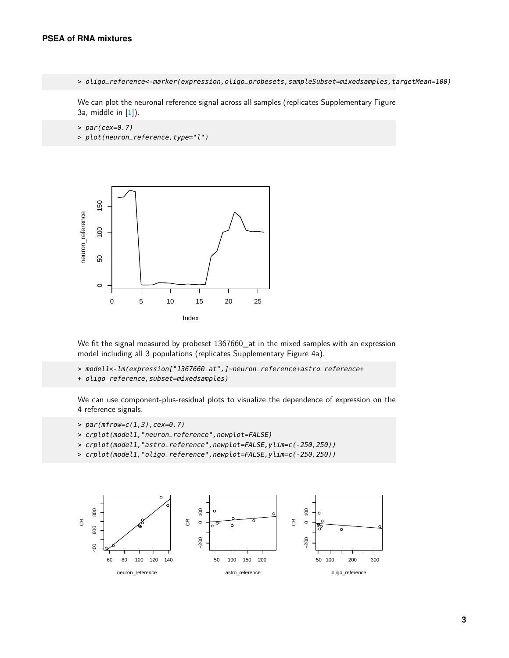> oligo\_reference<-marker(expression,oligo\_probesets,sampleSubset=mixedsamples,targetMean=100)

We can plot the neuronal reference signal across all samples (replicates Supplementary Figure 3a, middle in  $[1]$ ).

 $> par(cex=0.7)$ > plot(neuron\_reference,type="l")



We fit the signal measured by probeset 1367660 at in the mixed samples with an expression model including all 3 populations (replicates Supplementary Figure 4a).

- > model1<-lm(expression["1367660\_at",]~neuron\_reference+astro\_reference+
- + oligo\_reference, subset=mixedsamples)

We can use component-plus-residual plots to visualize the dependence of expression on the 4 reference signals.

- > par(mfrow=c(1,3),cex=0.7)
- > crplot(model1,"neuron\_reference",newplot=FALSE)
- > crplot(model1,"astro\_reference",newplot=FALSE,ylim=c(-250,250))
- > crplot(model1,"oligo\_reference",newplot=FALSE,ylim=c(-250,250))

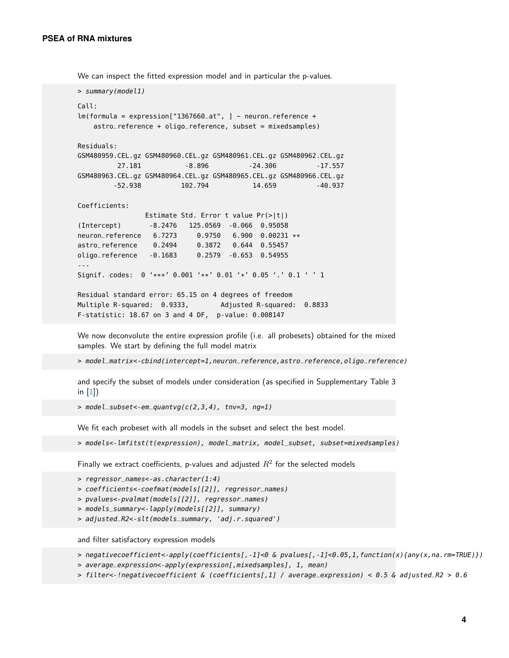We can inspect the fitted expression model and in particular the p-values.

```
> summary(model1)
Call:
lm(formula = expression['1367660_at", ] ~- neuron_reference +astro_reference + oligo_reference, subset = mixedsamples)
Residuals:
GSM480959.CEL.gz GSM480960.CEL.gz GSM480961.CEL.gz GSM480962.CEL.gz
        27.181 -8.896 -24.306 -17.557
GSM480963.CEL.gz GSM480964.CEL.gz GSM480965.CEL.gz GSM480966.CEL.gz
       -52.938 102.794 14.659 -40.937
Coefficients:
               Estimate Std. Error t value Pr(>|t|)
(Intercept) -8.2476 125.0569 -0.066 0.95058
neuron_reference 6.7273 0.9750 6.900 0.00231 **
astro_reference 0.2494 0.3872 0.644 0.55457
oligo_reference -0.1683 0.2579 -0.653 0.54955
---
Signif. codes: 0 '***' 0.001 '**' 0.01 '*' 0.05 '.' 0.1 ' ' 1
Residual standard error: 65.15 on 4 degrees of freedom
Multiple R-squared: 0.9333, Adjusted R-squared: 0.8833
F-statistic: 18.67 on 3 and 4 DF, p-value: 0.008147
```
We now deconvolute the entire expression profile (i.e. all probesets) obtained for the mixed samples. We start by defining the full model matrix

> model\_matrix<-cbind(intercept=1,neuron\_reference,astro\_reference,oligo\_reference)

and specify the subset of models under consideration (as specified in Supplementary Table 3 in [\[1\]](#page-6-0))

> model\_subset<-em\_quantvg(c(2,3,4), tnv=3, ng=1)

We fit each probeset with all models in the subset and select the best model.

> models<-lmfitst(t(expression), model\_matrix, model\_subset, subset=mixedsamples)

Finally we extract coefficients, p-values and adjusted  $R^2$  for the selected models

- > regressor\_names<-as.character(1:4)
- > coefficients<-coefmat(models[[2]], regressor\_names)
- > pvalues<-pvalmat(models[[2]], regressor\_names)
- > models\_summary<-lapply(models[[2]], summary)
- > adjusted\_R2<-slt(models\_summary, 'adj.r.squared')

and filter satisfactory expression models

> negativecoefficient<-apply(coefficients[,-1]<0 & pvalues[,-1]<0.05,1,function(x){any(x,na.rm=TRUE)})

- > average\_expression<-apply(expression[,mixedsamples], 1, mean)
- > filter<-!negativecoefficient & (coefficients[,1] / average\_expression) < 0.5 & adjusted\_R2 > 0.6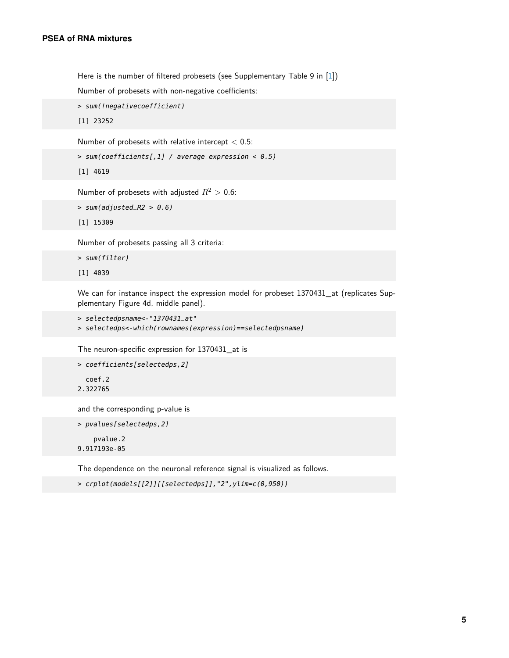Here is the number of filtered probesets (see Supplementary Table 9 in [\[1\]](#page-6-0))

Number of probesets with non-negative coefficients:

```
> sum(!negativecoefficient)
```
[1] 23252

Number of probesets with relative intercept  $< 0.5$ :

```
> sum(coefficients[,1] / average_expression < 0.5)
```
[1] 4619

Number of probesets with adjusted  $R^2 > 0.6$ :

```
> sum(adjusted_R2 > 0.6)
```
[1] 15309

Number of probesets passing all 3 criteria:

```
> sum(filter)
```
[1] 4039

We can for instance inspect the expression model for probeset 1370431\_at (replicates Supplementary Figure 4d, middle panel).

```
> selectedpsname<-"1370431_at"
```

```
> selectedps<-which(rownames(expression)==selectedpsname)
```
The neuron-specific expression for 1370431\_at is

```
> coefficients[selectedps,2]
  coef.2
```
2.322765

and the corresponding p-value is

```
> pvalues[selectedps,2]
    pvalue.2
9.917193e-05
```
The dependence on the neuronal reference signal is visualized as follows.

```
> crplot(models[[2]][[selectedps]],"2",ylim=c(0,950))
```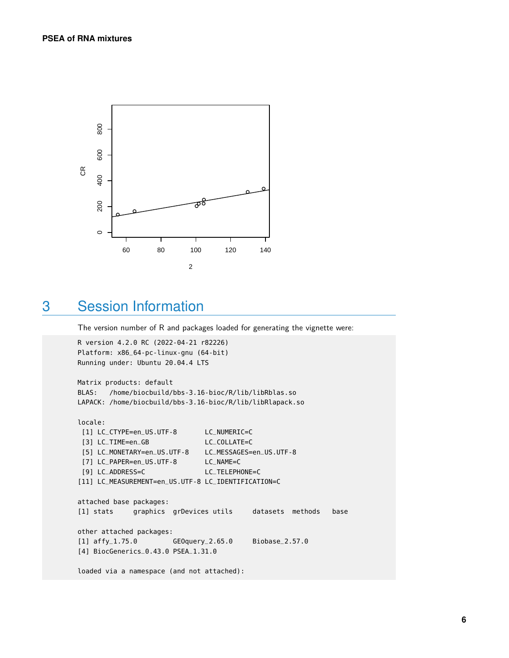

#### <span id="page-5-0"></span>3 Session Information

The version number of R and packages loaded for generating the vignette were:

```
R version 4.2.0 RC (2022-04-21 r82226)
Platform: x86_64-pc-linux-gnu (64-bit)
Running under: Ubuntu 20.04.4 LTS
Matrix products: default
BLAS: /home/biocbuild/bbs-3.16-bioc/R/lib/libRblas.so
LAPACK: /home/biocbuild/bbs-3.16-bioc/R/lib/libRlapack.so
locale:
 [1] LC_CTYPE=en_US.UTF-8 LC_NUMERIC=C
 [3] LC_TIME=en_GB LC_COLLATE=C
 [5] LC_MONETARY=en_US.UTF-8 LC_MESSAGES=en_US.UTF-8
 [7] LC_PAPER=en_US.UTF-8 LC_NAME=C
 [9] LC_ADDRESS=C LC_TELEPHONE=C
[11] LC_MEASUREMENT=en_US.UTF-8 LC_IDENTIFICATION=C
attached base packages:
[1] stats graphics grDevices utils datasets methods base
other attached packages:
[1] affy_1.75.0 GEOquery_2.65.0 Biobase_2.57.0
[4] BiocGenerics_0.43.0 PSEA_1.31.0
loaded via a namespace (and not attached):
```